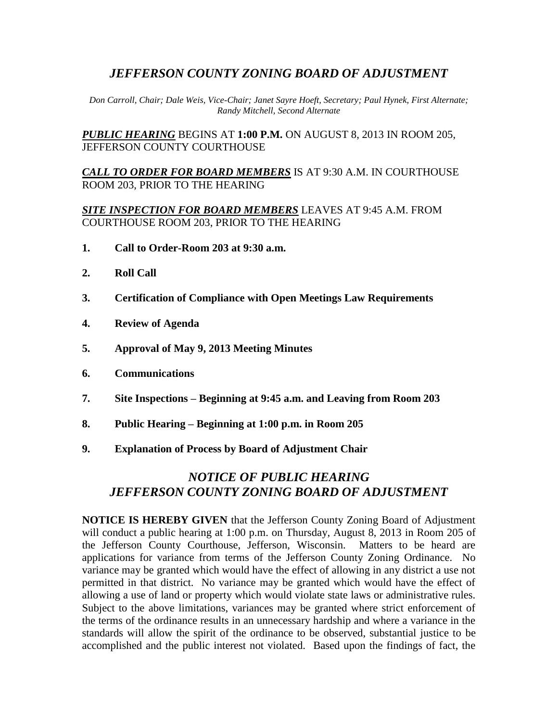## *JEFFERSON COUNTY ZONING BOARD OF ADJUSTMENT*

*Don Carroll, Chair; Dale Weis, Vice-Chair; Janet Sayre Hoeft, Secretary; Paul Hynek, First Alternate; Randy Mitchell, Second Alternate*

*PUBLIC HEARING* BEGINS AT **1:00 P.M.** ON AUGUST 8, 2013 IN ROOM 205, JEFFERSON COUNTY COURTHOUSE

*CALL TO ORDER FOR BOARD MEMBERS* IS AT 9:30 A.M. IN COURTHOUSE ROOM 203, PRIOR TO THE HEARING

*SITE INSPECTION FOR BOARD MEMBERS* LEAVES AT 9:45 A.M. FROM COURTHOUSE ROOM 203, PRIOR TO THE HEARING

- **1. Call to Order-Room 203 at 9:30 a.m.**
- **2. Roll Call**
- **3. Certification of Compliance with Open Meetings Law Requirements**
- **4. Review of Agenda**
- **5. Approval of May 9, 2013 Meeting Minutes**
- **6. Communications**
- **7. Site Inspections – Beginning at 9:45 a.m. and Leaving from Room 203**
- **8. Public Hearing – Beginning at 1:00 p.m. in Room 205**
- **9. Explanation of Process by Board of Adjustment Chair**

# *NOTICE OF PUBLIC HEARING JEFFERSON COUNTY ZONING BOARD OF ADJUSTMENT*

**NOTICE IS HEREBY GIVEN** that the Jefferson County Zoning Board of Adjustment will conduct a public hearing at 1:00 p.m. on Thursday, August 8, 2013 in Room 205 of the Jefferson County Courthouse, Jefferson, Wisconsin. Matters to be heard are applications for variance from terms of the Jefferson County Zoning Ordinance. No variance may be granted which would have the effect of allowing in any district a use not permitted in that district. No variance may be granted which would have the effect of allowing a use of land or property which would violate state laws or administrative rules. Subject to the above limitations, variances may be granted where strict enforcement of the terms of the ordinance results in an unnecessary hardship and where a variance in the standards will allow the spirit of the ordinance to be observed, substantial justice to be accomplished and the public interest not violated. Based upon the findings of fact, the